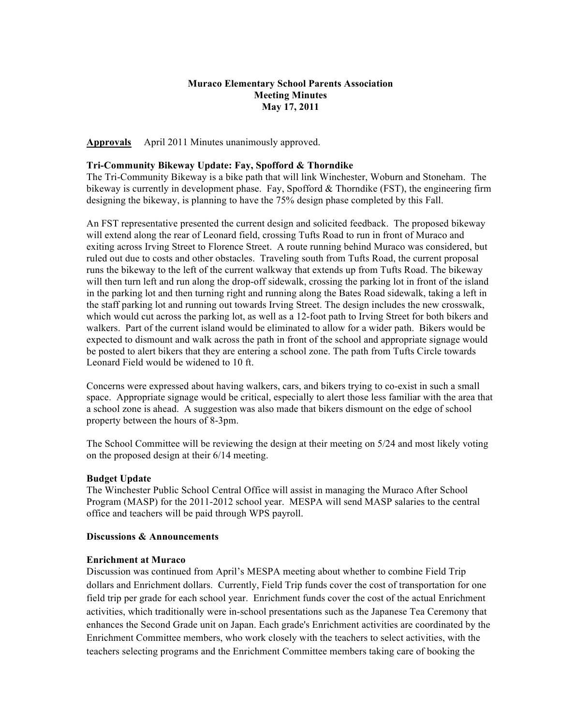## **Muraco Elementary School Parents Association Meeting Minutes May 17, 2011**

**Approvals** April 2011 Minutes unanimously approved.

### **Tri-Community Bikeway Update: Fay, Spofford & Thorndike**

The Tri-Community Bikeway is a bike path that will link Winchester, Woburn and Stoneham. The bikeway is currently in development phase. Fay, Spofford  $&$  Thorndike (FST), the engineering firm designing the bikeway, is planning to have the 75% design phase completed by this Fall.

An FST representative presented the current design and solicited feedback. The proposed bikeway will extend along the rear of Leonard field, crossing Tufts Road to run in front of Muraco and exiting across Irving Street to Florence Street. A route running behind Muraco was considered, but ruled out due to costs and other obstacles. Traveling south from Tufts Road, the current proposal runs the bikeway to the left of the current walkway that extends up from Tufts Road. The bikeway will then turn left and run along the drop-off sidewalk, crossing the parking lot in front of the island in the parking lot and then turning right and running along the Bates Road sidewalk, taking a left in the staff parking lot and running out towards Irving Street. The design includes the new crosswalk, which would cut across the parking lot, as well as a 12-foot path to Irving Street for both bikers and walkers. Part of the current island would be eliminated to allow for a wider path. Bikers would be expected to dismount and walk across the path in front of the school and appropriate signage would be posted to alert bikers that they are entering a school zone. The path from Tufts Circle towards Leonard Field would be widened to 10 ft.

Concerns were expressed about having walkers, cars, and bikers trying to co-exist in such a small space. Appropriate signage would be critical, especially to alert those less familiar with the area that a school zone is ahead. A suggestion was also made that bikers dismount on the edge of school property between the hours of 8-3pm.

The School Committee will be reviewing the design at their meeting on 5/24 and most likely voting on the proposed design at their 6/14 meeting.

### **Budget Update**

The Winchester Public School Central Office will assist in managing the Muraco After School Program (MASP) for the 2011-2012 school year. MESPA will send MASP salaries to the central office and teachers will be paid through WPS payroll.

### **Discussions & Announcements**

### **Enrichment at Muraco**

Discussion was continued from April's MESPA meeting about whether to combine Field Trip dollars and Enrichment dollars. Currently, Field Trip funds cover the cost of transportation for one field trip per grade for each school year. Enrichment funds cover the cost of the actual Enrichment activities, which traditionally were in-school presentations such as the Japanese Tea Ceremony that enhances the Second Grade unit on Japan. Each grade's Enrichment activities are coordinated by the Enrichment Committee members, who work closely with the teachers to select activities, with the teachers selecting programs and the Enrichment Committee members taking care of booking the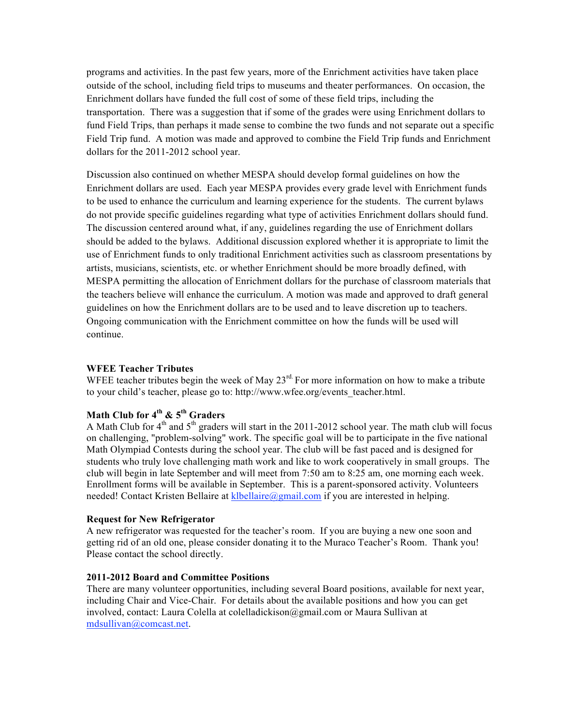programs and activities. In the past few years, more of the Enrichment activities have taken place outside of the school, including field trips to museums and theater performances. On occasion, the Enrichment dollars have funded the full cost of some of these field trips, including the transportation. There was a suggestion that if some of the grades were using Enrichment dollars to fund Field Trips, than perhaps it made sense to combine the two funds and not separate out a specific Field Trip fund. A motion was made and approved to combine the Field Trip funds and Enrichment dollars for the 2011-2012 school year.

Discussion also continued on whether MESPA should develop formal guidelines on how the Enrichment dollars are used. Each year MESPA provides every grade level with Enrichment funds to be used to enhance the curriculum and learning experience for the students. The current bylaws do not provide specific guidelines regarding what type of activities Enrichment dollars should fund. The discussion centered around what, if any, guidelines regarding the use of Enrichment dollars should be added to the bylaws. Additional discussion explored whether it is appropriate to limit the use of Enrichment funds to only traditional Enrichment activities such as classroom presentations by artists, musicians, scientists, etc. or whether Enrichment should be more broadly defined, with MESPA permitting the allocation of Enrichment dollars for the purchase of classroom materials that the teachers believe will enhance the curriculum. A motion was made and approved to draft general guidelines on how the Enrichment dollars are to be used and to leave discretion up to teachers. Ongoing communication with the Enrichment committee on how the funds will be used will continue.

## **WFEE Teacher Tributes**

WFEE teacher tributes begin the week of May  $23<sup>rd</sup>$  For more information on how to make a tribute to your child's teacher, please go to: http://www.wfee.org/events\_teacher.html.

# **Math Club for 4th & 5th Graders**

A Math Club for  $4<sup>th</sup>$  and  $5<sup>th</sup>$  graders will start in the 2011-2012 school year. The math club will focus on challenging, "problem-solving" work. The specific goal will be to participate in the five national Math Olympiad Contests during the school year. The club will be fast paced and is designed for students who truly love challenging math work and like to work cooperatively in small groups. The club will begin in late September and will meet from 7:50 am to 8:25 am, one morning each week. Enrollment forms will be available in September. This is a parent-sponsored activity. Volunteers needed! Contact Kristen Bellaire at klbellaire@gmail.com if you are interested in helping.

## **Request for New Refrigerator**

A new refrigerator was requested for the teacher's room. If you are buying a new one soon and getting rid of an old one, please consider donating it to the Muraco Teacher's Room. Thank you! Please contact the school directly.

## **2011-2012 Board and Committee Positions**

There are many volunteer opportunities, including several Board positions, available for next year, including Chair and Vice-Chair. For details about the available positions and how you can get involved, contact: Laura Colella at colelladickison@gmail.com or Maura Sullivan at mdsullivan@comcast.net.